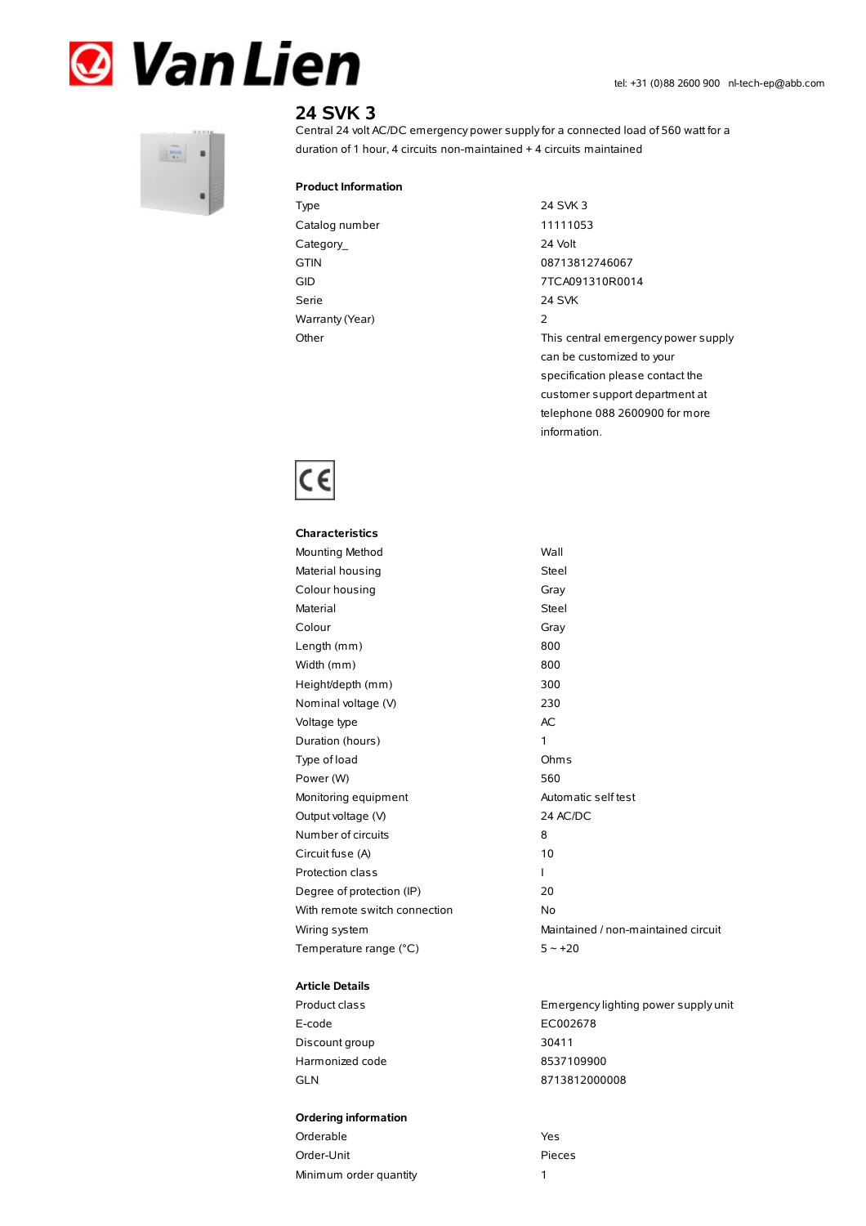



# **24 SVK 3**

Central 24 volt AC/DC emergency power supplyfor a connected load of 560 watt for a duration of 1 hour, 4 circuits non-maintained + 4 circuits maintained

#### **Product Information**

Type 24 SVK 3 Catalog number 11111053 Category\_ 24 Volt GTIN 08713812746067 Serie 24 SVK Warranty(Year) 2

GID 7TCA091310R0014 Other Charles Community Charles This central emergency power supply can be customized to your specification please contact the customer support department at telephone 088 2600900 for more information.



| <b>Characteristics</b>        |              |
|-------------------------------|--------------|
| Mounting Method               | Wall         |
| Material housing              | Steel        |
| Colour housing                | Gray         |
| Material                      | <b>Steel</b> |
| Colour                        | Gray         |
| Length (mm)                   | 800          |
| Width (mm)                    | 800          |
| Height/depth (mm)             | 300          |
| Nominal voltage (V)           | 230          |
| Voltage type                  | AC.          |
| Duration (hours)              | 1            |
| Type of load                  | Ohm:         |
| Power (W)                     | 560          |
| Monitoring equipment          | Auton        |
| Output voltage (V)            | 24 AC        |
| Number of circuits            | 8            |
| Circuit fuse (A)              | 10           |
| <b>Protection class</b>       | I            |
| Degree of protection (IP)     | 20           |
| With remote switch connection | No           |
| Wiring system                 | Maint        |
| Temperature range (°C)        | $5 - 1$      |
|                               |              |

### **Article Details**

E-code EC002678 Discount group 30411 Harmonized code 8537109900 GLN 8713812000008

#### **Ordering information**

| Orderable              | Yes. |
|------------------------|------|
| Order-Unit             | Piec |
| Minimum order quantity |      |

Steel Steel Gray Ohms Automatic self test 24 AC/DC Maintained / non-maintained circuit  $5 - +20$ 

Product class Emergencylighting power supply unit

Pieces